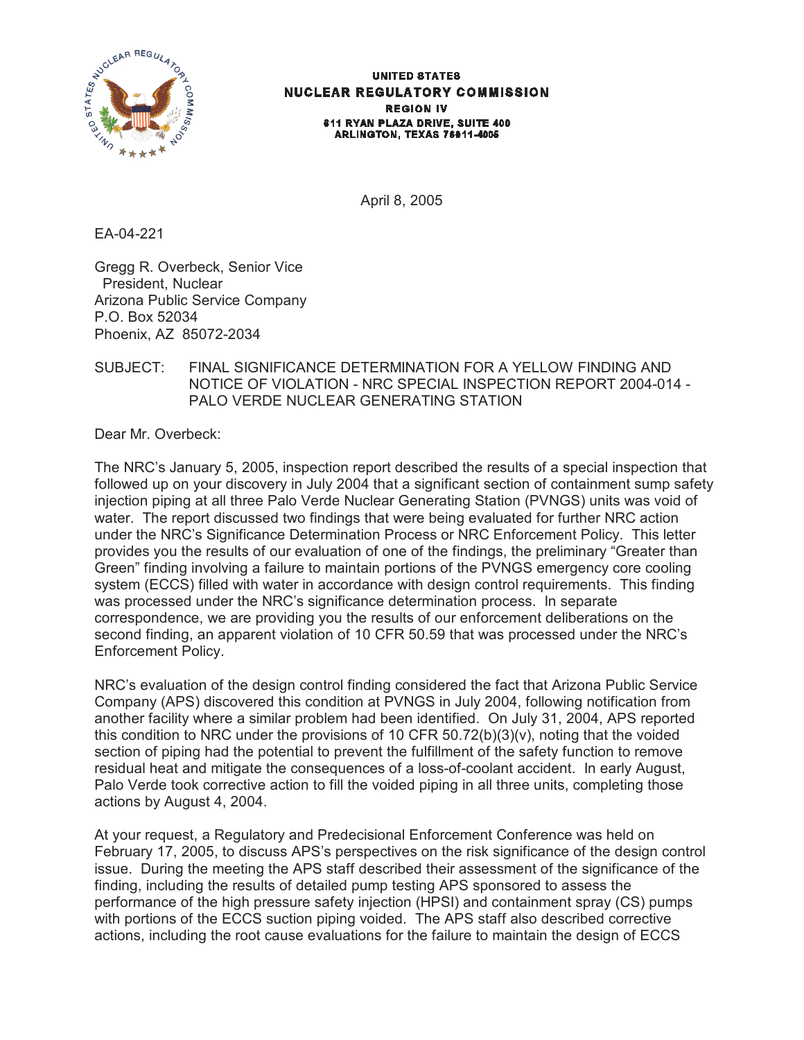

#### **UNITED STATES NUCLEAR REGULATORY COMMISSION REGION IV** 611 RYAN PLAZA DRIVE, SUITE 400 ARLINGTON, TEXAS 76011-4005

April 8, 2005

EA-04-221

Gregg R. Overbeck, Senior Vice President, Nuclear Arizona Public Service Company P.O. Box 52034 Phoenix, AZ 85072-2034

## SUBJECT: FINAL SIGNIFICANCE DETERMINATION FOR A YELLOW FINDING AND NOTICE OF VIOLATION - NRC SPECIAL INSPECTION REPORT 2004-014 - PALO VERDE NUCLEAR GENERATING STATION

Dear Mr. Overbeck:

The NRC's January 5, 2005, inspection report described the results of a special inspection that followed up on your discovery in July 2004 that a significant section of containment sump safety injection piping at all three Palo Verde Nuclear Generating Station (PVNGS) units was void of water. The report discussed two findings that were being evaluated for further NRC action under the NRC's Significance Determination Process or NRC Enforcement Policy. This letter provides you the results of our evaluation of one of the findings, the preliminary "Greater than Green" finding involving a failure to maintain portions of the PVNGS emergency core cooling system (ECCS) filled with water in accordance with design control requirements. This finding was processed under the NRC's significance determination process. In separate correspondence, we are providing you the results of our enforcement deliberations on the second finding, an apparent violation of 10 CFR 50.59 that was processed under the NRC's Enforcement Policy.

NRC's evaluation of the design control finding considered the fact that Arizona Public Service Company (APS) discovered this condition at PVNGS in July 2004, following notification from another facility where a similar problem had been identified. On July 31, 2004, APS reported this condition to NRC under the provisions of 10 CFR 50.72(b)(3)(v), noting that the voided section of piping had the potential to prevent the fulfillment of the safety function to remove residual heat and mitigate the consequences of a loss-of-coolant accident. In early August, Palo Verde took corrective action to fill the voided piping in all three units, completing those actions by August 4, 2004.

At your request, a Regulatory and Predecisional Enforcement Conference was held on February 17, 2005, to discuss APS's perspectives on the risk significance of the design control issue. During the meeting the APS staff described their assessment of the significance of the finding, including the results of detailed pump testing APS sponsored to assess the performance of the high pressure safety injection (HPSI) and containment spray (CS) pumps with portions of the ECCS suction piping voided. The APS staff also described corrective actions, including the root cause evaluations for the failure to maintain the design of ECCS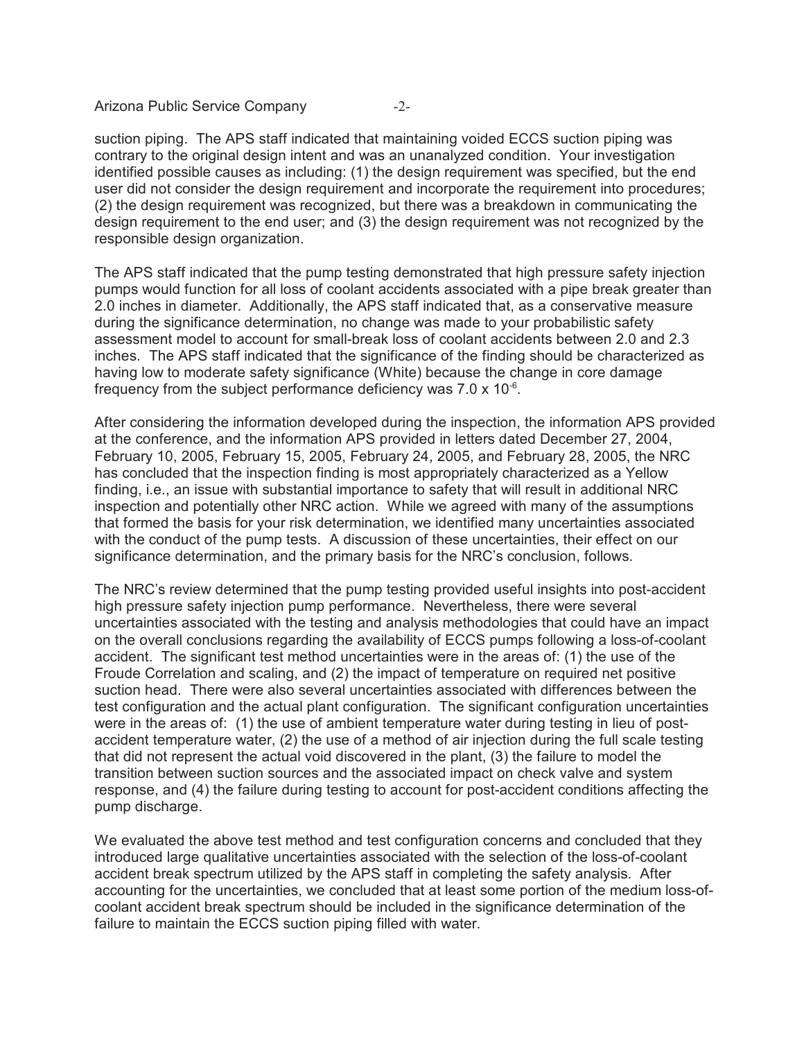Arizona Public Service Company -2-

suction piping. The APS staff indicated that maintaining voided ECCS suction piping was contrary to the original design intent and was an unanalyzed condition. Your investigation identified possible causes as including: (1) the design requirement was specified, but the end user did not consider the design requirement and incorporate the requirement into procedures; (2) the design requirement was recognized, but there was a breakdown in communicating the design requirement to the end user; and (3) the design requirement was not recognized by the responsible design organization.

The APS staff indicated that the pump testing demonstrated that high pressure safety injection pumps would function for all loss of coolant accidents associated with a pipe break greater than 2.0 inches in diameter. Additionally, the APS staff indicated that, as a conservative measure during the significance determination, no change was made to your probabilistic safety assessment model to account for small-break loss of coolant accidents between 2.0 and 2.3 inches. The APS staff indicated that the significance of the finding should be characterized as having low to moderate safety significance (White) because the change in core damage frequency from the subject performance deficiency was  $7.0 \times 10^{-6}$ .

After considering the information developed during the inspection, the information APS provided at the conference, and the information APS provided in letters dated December 27, 2004, February 10, 2005, February 15, 2005, February 24, 2005, and February 28, 2005, the NRC has concluded that the inspection finding is most appropriately characterized as a Yellow finding, i.e., an issue with substantial importance to safety that will result in additional NRC inspection and potentially other NRC action. While we agreed with many of the assumptions that formed the basis for your risk determination, we identified many uncertainties associated with the conduct of the pump tests. A discussion of these uncertainties, their effect on our significance determination, and the primary basis for the NRC's conclusion, follows.

The NRC's review determined that the pump testing provided useful insights into post-accident high pressure safety injection pump performance. Nevertheless, there were several uncertainties associated with the testing and analysis methodologies that could have an impact on the overall conclusions regarding the availability of ECCS pumps following a loss-of-coolant accident. The significant test method uncertainties were in the areas of: (1) the use of the Froude Correlation and scaling, and (2) the impact of temperature on required net positive suction head. There were also several uncertainties associated with differences between the test configuration and the actual plant configuration. The significant configuration uncertainties were in the areas of: (1) the use of ambient temperature water during testing in lieu of postaccident temperature water, (2) the use of a method of air injection during the full scale testing that did not represent the actual void discovered in the plant, (3) the failure to model the transition between suction sources and the associated impact on check valve and system response, and (4) the failure during testing to account for post-accident conditions affecting the pump discharge.

We evaluated the above test method and test configuration concerns and concluded that they introduced large qualitative uncertainties associated with the selection of the loss-of-coolant accident break spectrum utilized by the APS staff in completing the safety analysis. After accounting for the uncertainties, we concluded that at least some portion of the medium loss-ofcoolant accident break spectrum should be included in the significance determination of the failure to maintain the ECCS suction piping filled with water.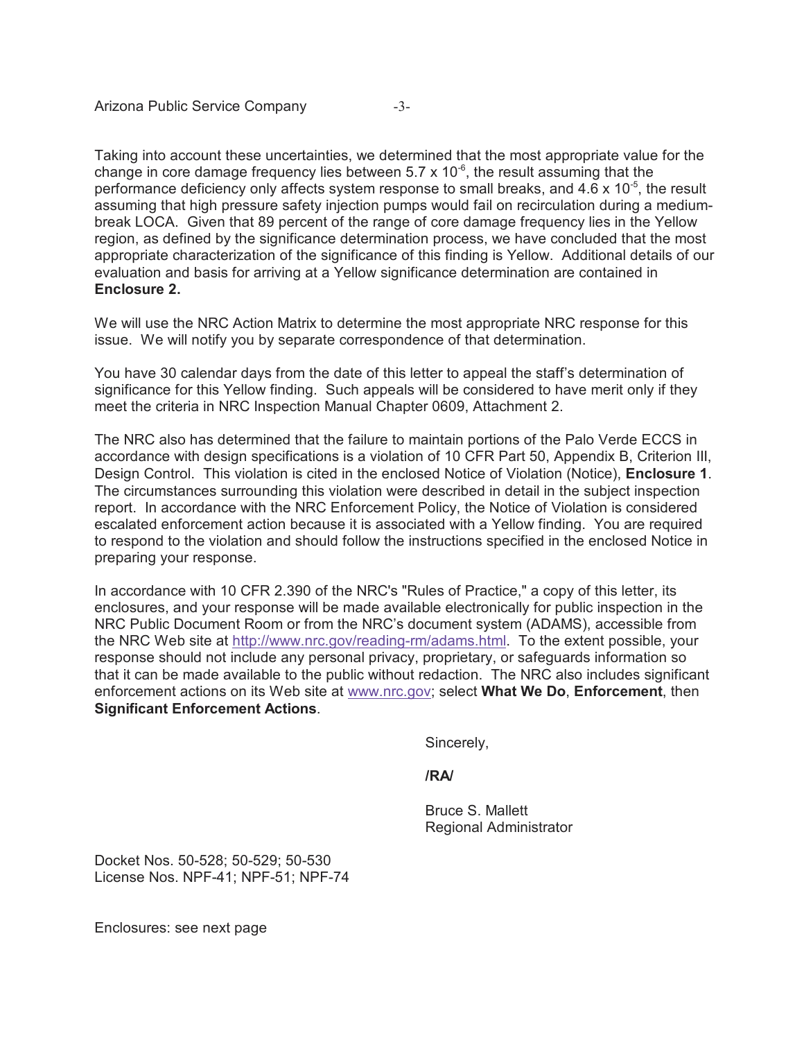Taking into account these uncertainties, we determined that the most appropriate value for the change in core damage frequency lies between  $5.7 \times 10^{-6}$ , the result assuming that the performance deficiency only affects system response to small breaks, and  $4.6 \times 10^{-5}$ , the result assuming that high pressure safety injection pumps would fail on recirculation during a mediumbreak LOCA. Given that 89 percent of the range of core damage frequency lies in the Yellow region, as defined by the significance determination process, we have concluded that the most appropriate characterization of the significance of this finding is Yellow. Additional details of our evaluation and basis for arriving at a Yellow significance determination are contained in **Enclosure 2.**

We will use the NRC Action Matrix to determine the most appropriate NRC response for this issue. We will notify you by separate correspondence of that determination.

You have 30 calendar days from the date of this letter to appeal the staff's determination of significance for this Yellow finding. Such appeals will be considered to have merit only if they meet the criteria in NRC Inspection Manual Chapter 0609, Attachment 2.

The NRC also has determined that the failure to maintain portions of the Palo Verde ECCS in accordance with design specifications is a violation of 10 CFR Part 50, Appendix B, Criterion III, Design Control. This violation is cited in the enclosed Notice of Violation (Notice), **Enclosure 1**. The circumstances surrounding this violation were described in detail in the subject inspection report. In accordance with the NRC Enforcement Policy, the Notice of Violation is considered escalated enforcement action because it is associated with a Yellow finding. You are required to respond to the violation and should follow the instructions specified in the enclosed Notice in preparing your response.

In accordance with 10 CFR 2.390 of the NRC's "Rules of Practice," a copy of this letter, its enclosures, and your response will be made available electronically for public inspection in the NRC Public Document Room or from the NRC's document system (ADAMS), accessible from the NRC Web site at http://www.nrc.gov/reading-rm/adams.html. To the extent possible, your response should not include any personal privacy, proprietary, or safeguards information so that it can be made available to the public without redaction. The NRC also includes significant enforcement actions on its Web site at www.nrc.gov; select **What We Do**, **Enforcement**, then **Significant Enforcement Actions**.

Sincerely,

**/RA/**

Bruce S. Mallett Regional Administrator

Docket Nos. 50-528; 50-529; 50-530 License Nos. NPF-41; NPF-51; NPF-74

Enclosures: see next page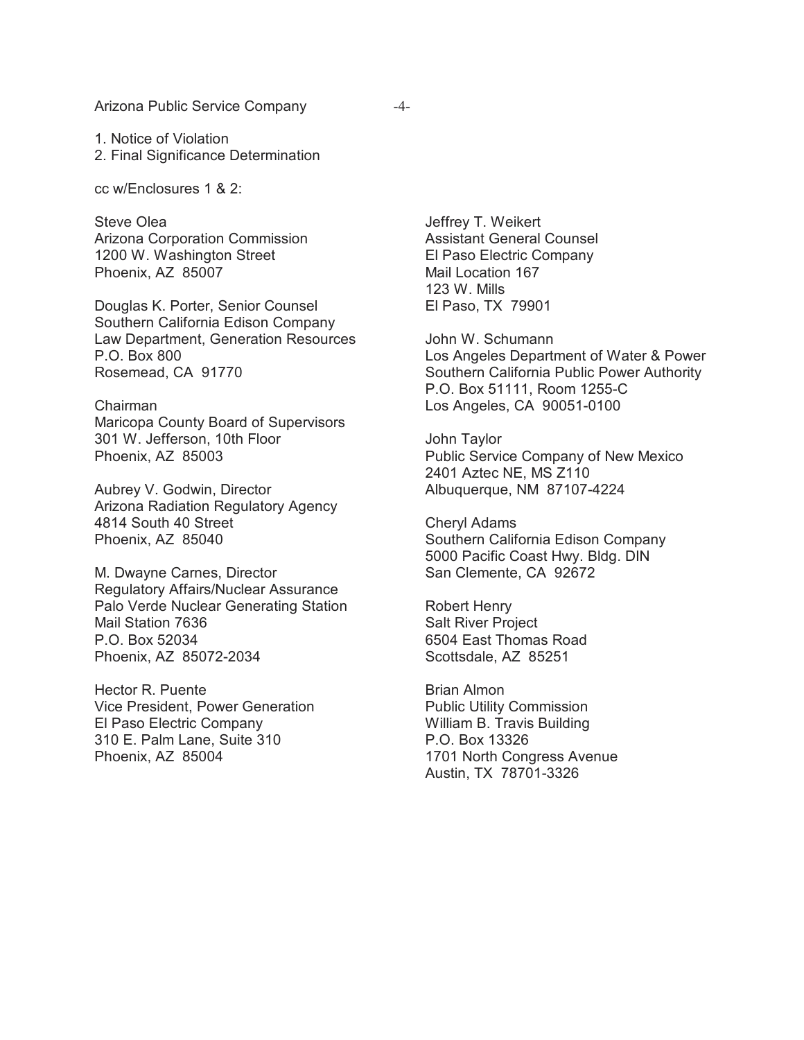Arizona Public Service Company -4-

1. Notice of Violation

2. Final Significance Determination

cc w/Enclosures 1 & 2:

Steve Olea Arizona Corporation Commission 1200 W. Washington Street Phoenix, AZ 85007

Douglas K. Porter, Senior Counsel Southern California Edison Company Law Department, Generation Resources P.O. Box 800 Rosemead, CA 91770

Chairman Maricopa County Board of Supervisors 301 W. Jefferson, 10th Floor Phoenix, AZ 85003

Aubrey V. Godwin, Director Arizona Radiation Regulatory Agency 4814 South 40 Street Phoenix, AZ 85040

M. Dwayne Carnes, Director Regulatory Affairs/Nuclear Assurance Palo Verde Nuclear Generating Station Mail Station 7636 P.O. Box 52034 Phoenix, AZ 85072-2034

Hector R. Puente Vice President, Power Generation El Paso Electric Company 310 E. Palm Lane, Suite 310 Phoenix, AZ 85004

Jeffrey T. Weikert Assistant General Counsel El Paso Electric Company Mail Location 167 123 W. Mills El Paso, TX 79901

John W. Schumann Los Angeles Department of Water & Power Southern California Public Power Authority P.O. Box 51111, Room 1255-C Los Angeles, CA 90051-0100

John Taylor Public Service Company of New Mexico 2401 Aztec NE, MS Z110 Albuquerque, NM 87107-4224

Cheryl Adams Southern California Edison Company 5000 Pacific Coast Hwy. Bldg. DIN San Clemente, CA 92672

Robert Henry Salt River Project 6504 East Thomas Road Scottsdale, AZ 85251

Brian Almon Public Utility Commission William B. Travis Building P.O. Box 13326 1701 North Congress Avenue Austin, TX 78701-3326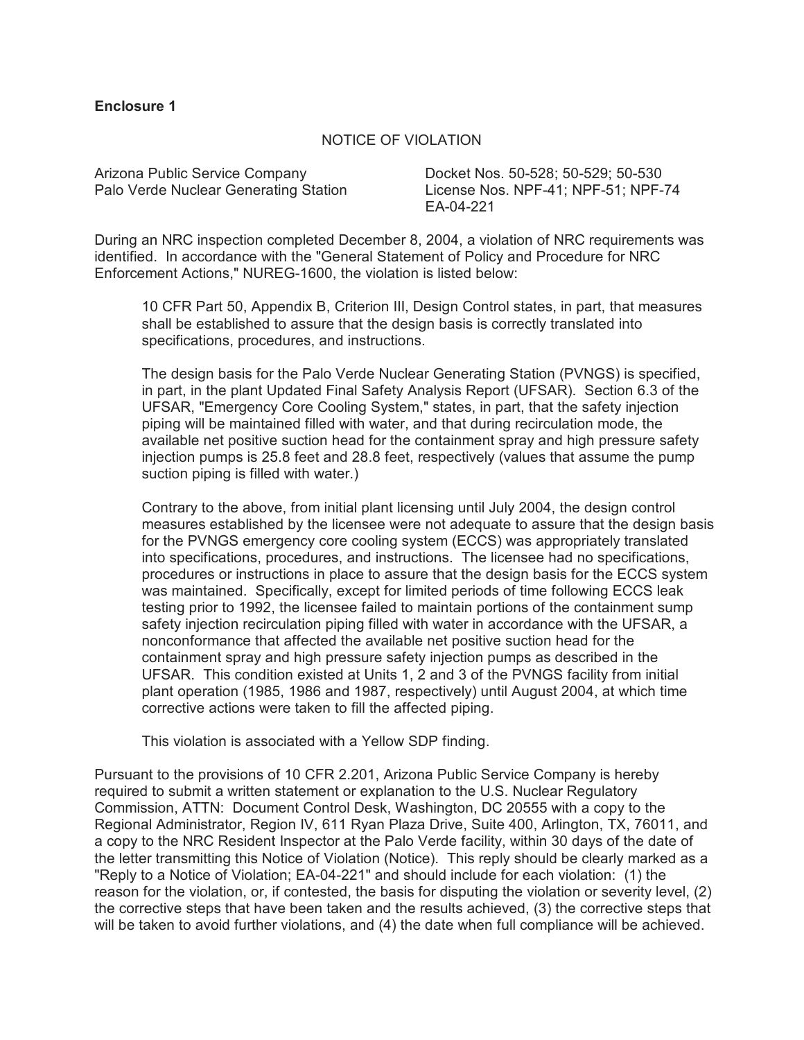#### **Enclosure 1**

#### NOTICE OF VIOLATION

Arizona Public Service Company Docket Nos. 50-528; 50-529; 50-530

Palo Verde Nuclear Generating Station License Nos. NPF-41; NPF-51; NPF-74 EA-04-221

During an NRC inspection completed December 8, 2004, a violation of NRC requirements was identified. In accordance with the "General Statement of Policy and Procedure for NRC Enforcement Actions," NUREG-1600, the violation is listed below:

10 CFR Part 50, Appendix B, Criterion III, Design Control states, in part, that measures shall be established to assure that the design basis is correctly translated into specifications, procedures, and instructions.

The design basis for the Palo Verde Nuclear Generating Station (PVNGS) is specified, in part, in the plant Updated Final Safety Analysis Report (UFSAR). Section 6.3 of the UFSAR, "Emergency Core Cooling System," states, in part, that the safety injection piping will be maintained filled with water, and that during recirculation mode, the available net positive suction head for the containment spray and high pressure safety injection pumps is 25.8 feet and 28.8 feet, respectively (values that assume the pump suction piping is filled with water.)

Contrary to the above, from initial plant licensing until July 2004, the design control measures established by the licensee were not adequate to assure that the design basis for the PVNGS emergency core cooling system (ECCS) was appropriately translated into specifications, procedures, and instructions. The licensee had no specifications, procedures or instructions in place to assure that the design basis for the ECCS system was maintained. Specifically, except for limited periods of time following ECCS leak testing prior to 1992, the licensee failed to maintain portions of the containment sump safety injection recirculation piping filled with water in accordance with the UFSAR, a nonconformance that affected the available net positive suction head for the containment spray and high pressure safety injection pumps as described in the UFSAR. This condition existed at Units 1, 2 and 3 of the PVNGS facility from initial plant operation (1985, 1986 and 1987, respectively) until August 2004, at which time corrective actions were taken to fill the affected piping.

This violation is associated with a Yellow SDP finding.

Pursuant to the provisions of 10 CFR 2.201, Arizona Public Service Company is hereby required to submit a written statement or explanation to the U.S. Nuclear Regulatory Commission, ATTN: Document Control Desk, Washington, DC 20555 with a copy to the Regional Administrator, Region IV, 611 Ryan Plaza Drive, Suite 400, Arlington, TX, 76011, and a copy to the NRC Resident Inspector at the Palo Verde facility, within 30 days of the date of the letter transmitting this Notice of Violation (Notice). This reply should be clearly marked as a "Reply to a Notice of Violation; EA-04-221" and should include for each violation: (1) the reason for the violation, or, if contested, the basis for disputing the violation or severity level, (2) the corrective steps that have been taken and the results achieved, (3) the corrective steps that will be taken to avoid further violations, and (4) the date when full compliance will be achieved.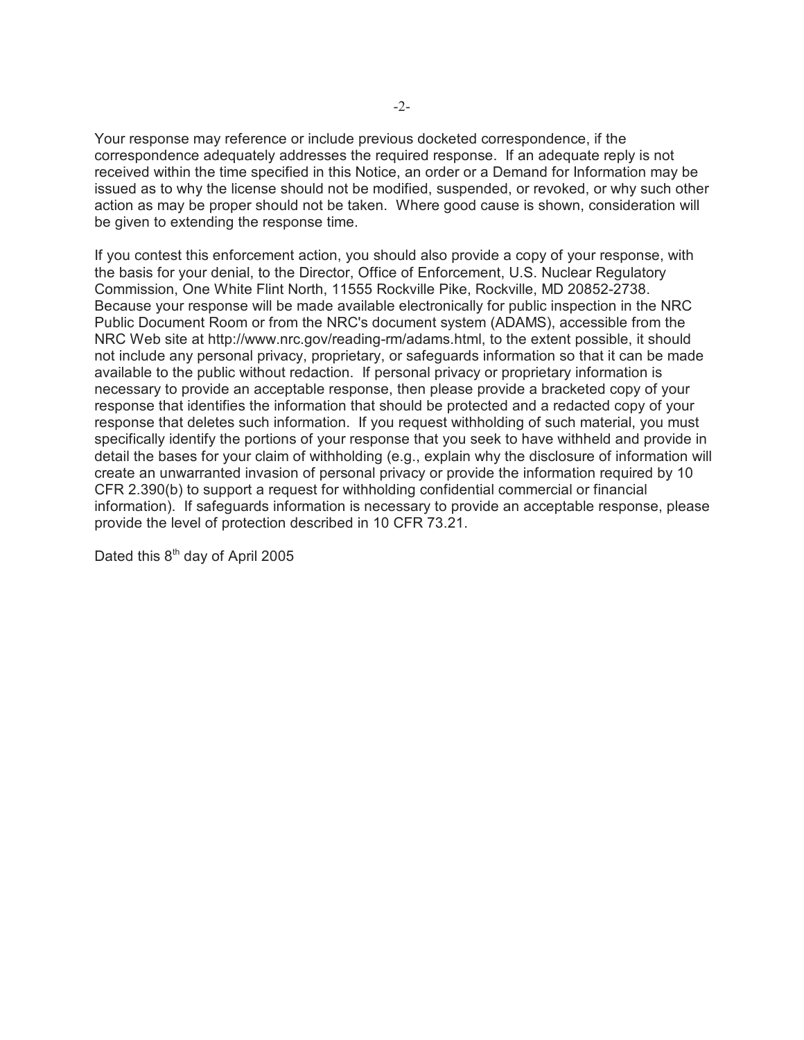Your response may reference or include previous docketed correspondence, if the correspondence adequately addresses the required response. If an adequate reply is not received within the time specified in this Notice, an order or a Demand for Information may be issued as to why the license should not be modified, suspended, or revoked, or why such other action as may be proper should not be taken. Where good cause is shown, consideration will be given to extending the response time.

If you contest this enforcement action, you should also provide a copy of your response, with the basis for your denial, to the Director, Office of Enforcement, U.S. Nuclear Regulatory Commission, One White Flint North, 11555 Rockville Pike, Rockville, MD 20852-2738. Because your response will be made available electronically for public inspection in the NRC Public Document Room or from the NRC's document system (ADAMS), accessible from the NRC Web site at http://www.nrc.gov/reading-rm/adams.html, to the extent possible, it should not include any personal privacy, proprietary, or safeguards information so that it can be made available to the public without redaction. If personal privacy or proprietary information is necessary to provide an acceptable response, then please provide a bracketed copy of your response that identifies the information that should be protected and a redacted copy of your response that deletes such information. If you request withholding of such material, you must specifically identify the portions of your response that you seek to have withheld and provide in detail the bases for your claim of withholding (e.g., explain why the disclosure of information will create an unwarranted invasion of personal privacy or provide the information required by 10 CFR 2.390(b) to support a request for withholding confidential commercial or financial information). If safeguards information is necessary to provide an acceptable response, please provide the level of protection described in 10 CFR 73.21.

Dated this  $8<sup>th</sup>$  day of April 2005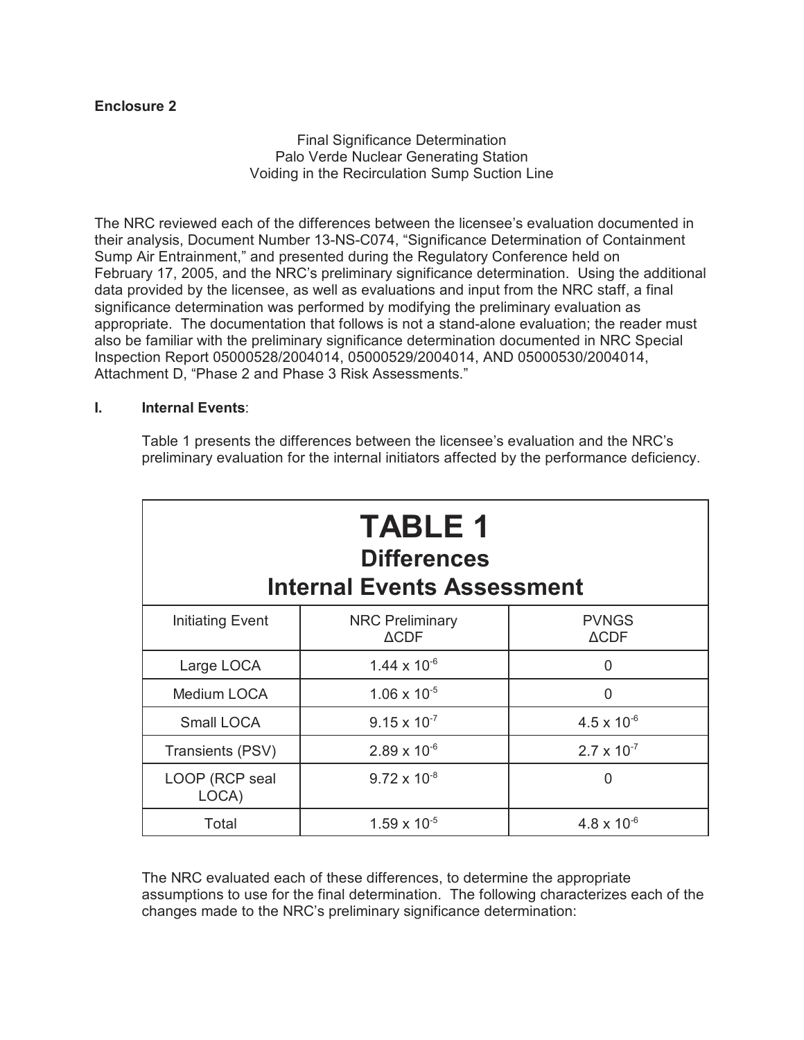# **Enclosure 2**

Final Significance Determination Palo Verde Nuclear Generating Station Voiding in the Recirculation Sump Suction Line

The NRC reviewed each of the differences between the licensee's evaluation documented in their analysis, Document Number 13-NS-C074, "Significance Determination of Containment Sump Air Entrainment," and presented during the Regulatory Conference held on February 17, 2005, and the NRC's preliminary significance determination. Using the additional data provided by the licensee, as well as evaluations and input from the NRC staff, a final significance determination was performed by modifying the preliminary evaluation as appropriate. The documentation that follows is not a stand-alone evaluation; the reader must also be familiar with the preliminary significance determination documented in NRC Special Inspection Report 05000528/2004014, 05000529/2004014, AND 05000530/2004014, Attachment D, "Phase 2 and Phase 3 Risk Assessments."

## **I. Internal Events**:

Table 1 presents the differences between the licensee's evaluation and the NRC's preliminary evaluation for the internal initiators affected by the performance deficiency.

| <b>TABLE 1</b><br><b>Differences</b><br><b>Internal Events Assessment</b> |                                           |                                 |  |  |
|---------------------------------------------------------------------------|-------------------------------------------|---------------------------------|--|--|
| Initiating Event                                                          | <b>NRC Preliminary</b><br>$\triangle$ CDF | <b>PVNGS</b><br>$\triangle$ CDF |  |  |
| Large LOCA                                                                | $1.44 \times 10^{-6}$                     | 0                               |  |  |
| Medium LOCA                                                               | $1.06 \times 10^{-5}$                     | O                               |  |  |
| Small LOCA                                                                | $9.15 \times 10^{-7}$                     | $4.5 \times 10^{-6}$            |  |  |
| Transients (PSV)                                                          | $2.89 \times 10^{-6}$                     | $2.7 \times 10^{-7}$            |  |  |
| LOOP (RCP seal<br>LOCA)                                                   | $9.72 \times 10^{-8}$                     | 0                               |  |  |
| Total                                                                     | $1.59 \times 10^{-5}$                     | $4.8 \times 10^{-6}$            |  |  |

The NRC evaluated each of these differences, to determine the appropriate assumptions to use for the final determination. The following characterizes each of the changes made to the NRC's preliminary significance determination: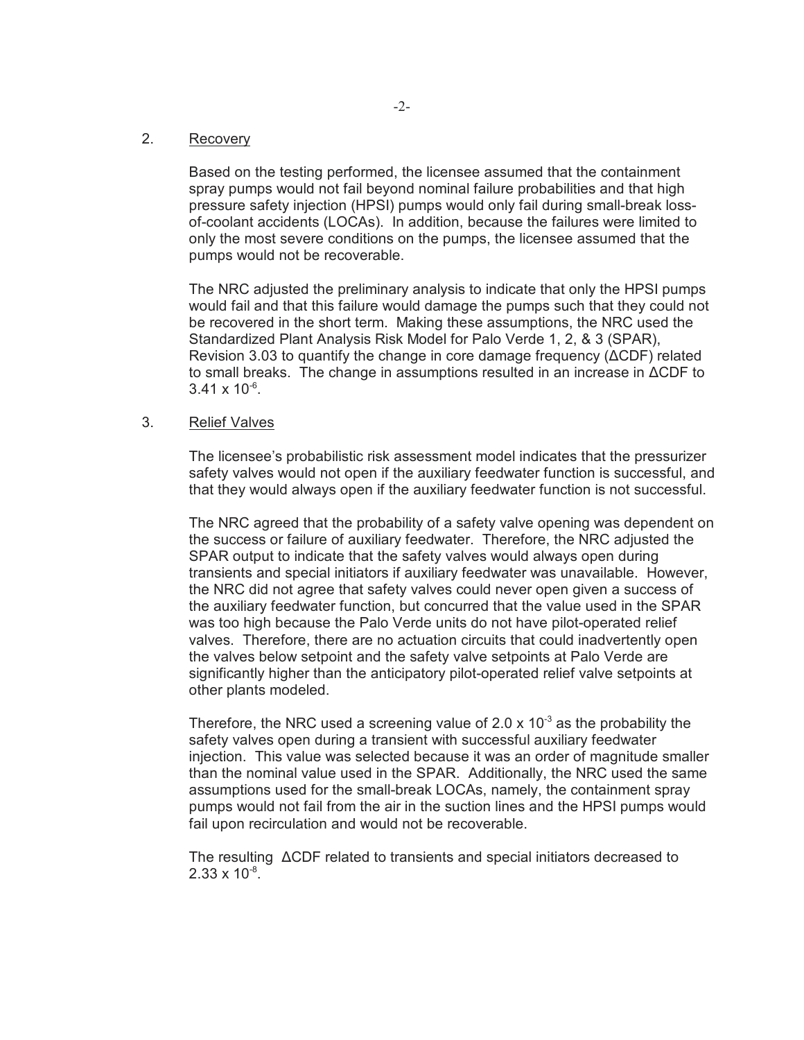## 2. Recovery

Based on the testing performed, the licensee assumed that the containment spray pumps would not fail beyond nominal failure probabilities and that high pressure safety injection (HPSI) pumps would only fail during small-break lossof-coolant accidents (LOCAs). In addition, because the failures were limited to only the most severe conditions on the pumps, the licensee assumed that the pumps would not be recoverable.

The NRC adjusted the preliminary analysis to indicate that only the HPSI pumps would fail and that this failure would damage the pumps such that they could not be recovered in the short term. Making these assumptions, the NRC used the Standardized Plant Analysis Risk Model for Palo Verde 1, 2, & 3 (SPAR), Revision 3.03 to quantify the change in core damage frequency (∆CDF) related to small breaks. The change in assumptions resulted in an increase in ∆CDF to  $3.41 \times 10^{-6}$ .

#### 3. Relief Valves

The licensee's probabilistic risk assessment model indicates that the pressurizer safety valves would not open if the auxiliary feedwater function is successful, and that they would always open if the auxiliary feedwater function is not successful.

The NRC agreed that the probability of a safety valve opening was dependent on the success or failure of auxiliary feedwater. Therefore, the NRC adjusted the SPAR output to indicate that the safety valves would always open during transients and special initiators if auxiliary feedwater was unavailable. However, the NRC did not agree that safety valves could never open given a success of the auxiliary feedwater function, but concurred that the value used in the SPAR was too high because the Palo Verde units do not have pilot-operated relief valves. Therefore, there are no actuation circuits that could inadvertently open the valves below setpoint and the safety valve setpoints at Palo Verde are significantly higher than the anticipatory pilot-operated relief valve setpoints at other plants modeled.

Therefore, the NRC used a screening value of  $2.0 \times 10^{-3}$  as the probability the safety valves open during a transient with successful auxiliary feedwater injection. This value was selected because it was an order of magnitude smaller than the nominal value used in the SPAR. Additionally, the NRC used the same assumptions used for the small-break LOCAs, namely, the containment spray pumps would not fail from the air in the suction lines and the HPSI pumps would fail upon recirculation and would not be recoverable.

The resulting ∆CDF related to transients and special initiators decreased to  $2.33 \times 10^{-8}$ .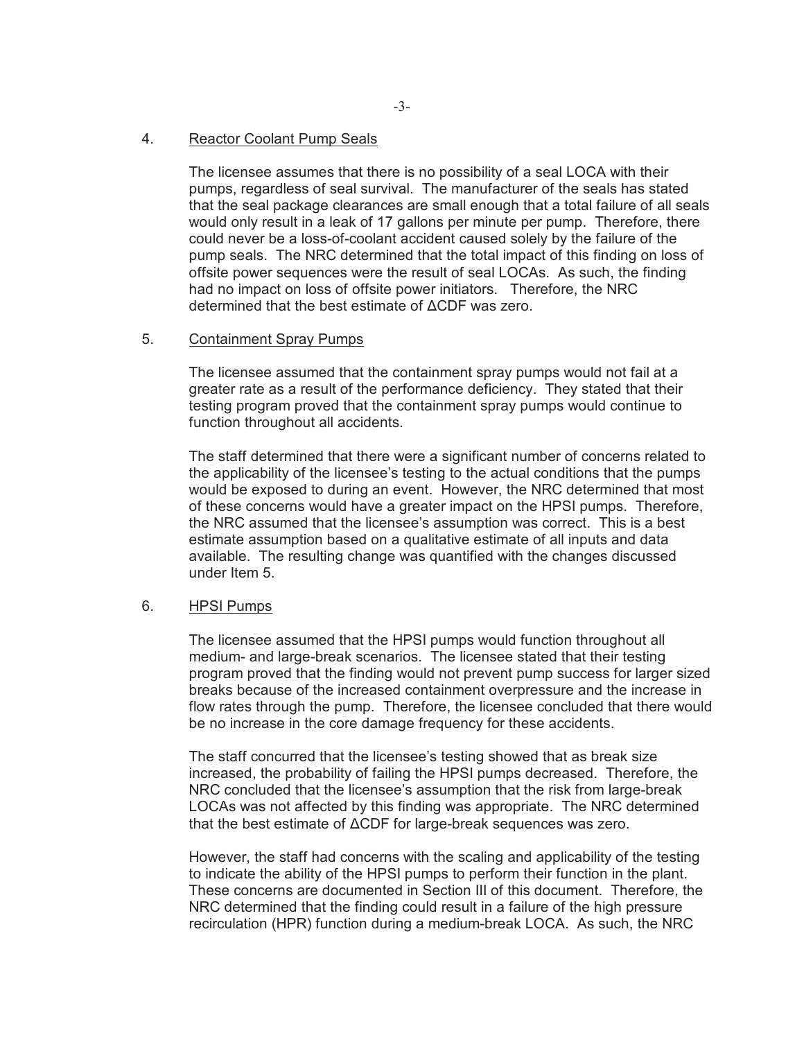#### 4. Reactor Coolant Pump Seals

The licensee assumes that there is no possibility of a seal LOCA with their pumps, regardless of seal survival. The manufacturer of the seals has stated that the seal package clearances are small enough that a total failure of all seals would only result in a leak of 17 gallons per minute per pump. Therefore, there could never be a loss-of-coolant accident caused solely by the failure of the pump seals. The NRC determined that the total impact of this finding on loss of offsite power sequences were the result of seal LOCAs. As such, the finding had no impact on loss of offsite power initiators. Therefore, the NRC determined that the best estimate of ∆CDF was zero.

#### 5. Containment Spray Pumps

The licensee assumed that the containment spray pumps would not fail at a greater rate as a result of the performance deficiency. They stated that their testing program proved that the containment spray pumps would continue to function throughout all accidents.

The staff determined that there were a significant number of concerns related to the applicability of the licensee's testing to the actual conditions that the pumps would be exposed to during an event. However, the NRC determined that most of these concerns would have a greater impact on the HPSI pumps. Therefore, the NRC assumed that the licensee's assumption was correct. This is a best estimate assumption based on a qualitative estimate of all inputs and data available. The resulting change was quantified with the changes discussed under Item 5.

#### 6. HPSI Pumps

The licensee assumed that the HPSI pumps would function throughout all medium- and large-break scenarios. The licensee stated that their testing program proved that the finding would not prevent pump success for larger sized breaks because of the increased containment overpressure and the increase in flow rates through the pump. Therefore, the licensee concluded that there would be no increase in the core damage frequency for these accidents.

The staff concurred that the licensee's testing showed that as break size increased, the probability of failing the HPSI pumps decreased. Therefore, the NRC concluded that the licensee's assumption that the risk from large-break LOCAs was not affected by this finding was appropriate. The NRC determined that the best estimate of ∆CDF for large-break sequences was zero.

However, the staff had concerns with the scaling and applicability of the testing to indicate the ability of the HPSI pumps to perform their function in the plant. These concerns are documented in Section III of this document. Therefore, the NRC determined that the finding could result in a failure of the high pressure recirculation (HPR) function during a medium-break LOCA. As such, the NRC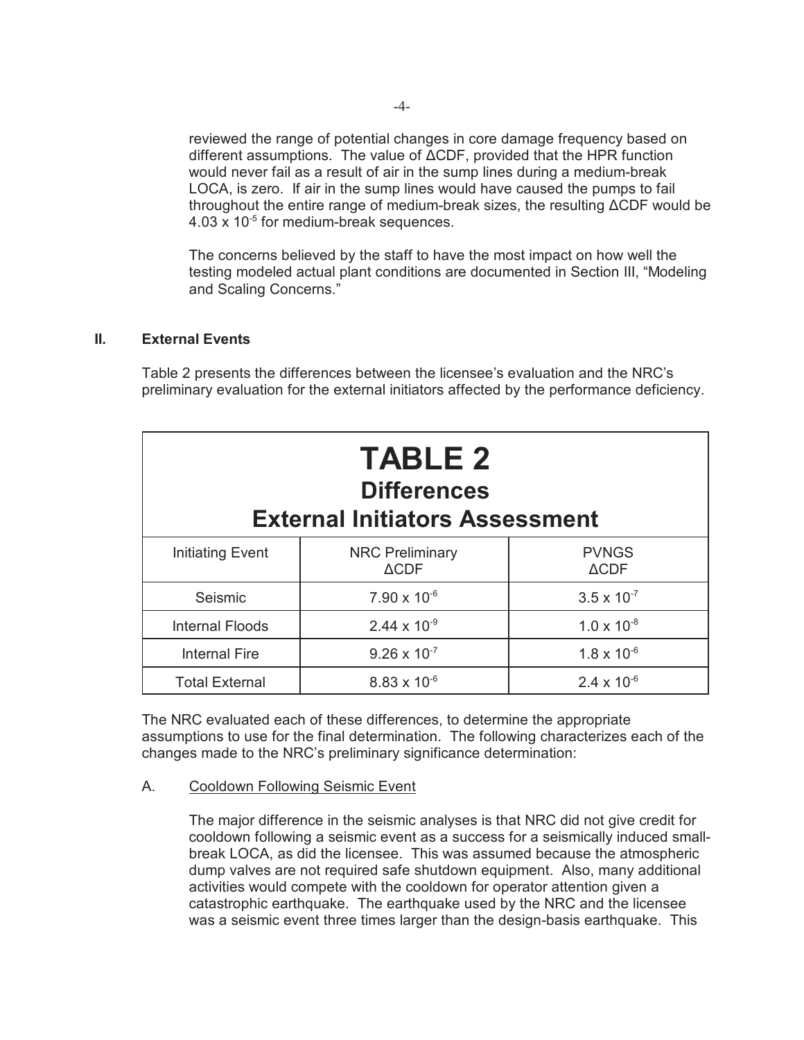reviewed the range of potential changes in core damage frequency based on different assumptions. The value of ∆CDF, provided that the HPR function would never fail as a result of air in the sump lines during a medium-break LOCA, is zero. If air in the sump lines would have caused the pumps to fail throughout the entire range of medium-break sizes, the resulting ∆CDF would be  $4.03 \times 10^{-5}$  for medium-break sequences.

The concerns believed by the staff to have the most impact on how well the testing modeled actual plant conditions are documented in Section III, "Modeling and Scaling Concerns."

## **II. External Events**

Table 2 presents the differences between the licensee's evaluation and the NRC's preliminary evaluation for the external initiators affected by the performance deficiency.

| <b>TABLE 2</b><br><b>Differences</b><br><b>External Initiators Assessment</b> |                                           |                                 |  |  |
|-------------------------------------------------------------------------------|-------------------------------------------|---------------------------------|--|--|
| Initiating Event                                                              | <b>NRC Preliminary</b><br>$\triangle$ CDF | <b>PVNGS</b><br>$\triangle CDF$ |  |  |
| Seismic                                                                       | $7.90 \times 10^{-6}$                     | $3.5 \times 10^{-7}$            |  |  |
| <b>Internal Floods</b>                                                        | $2.44 \times 10^{-9}$                     | $1.0 \times 10^{-8}$            |  |  |
| <b>Internal Fire</b>                                                          | $9.26 \times 10^{-7}$                     | $1.8 \times 10^{-6}$            |  |  |
| <b>Total External</b>                                                         | $8.83 \times 10^{-6}$                     | $2.4 \times 10^{-6}$            |  |  |

The NRC evaluated each of these differences, to determine the appropriate assumptions to use for the final determination. The following characterizes each of the changes made to the NRC's preliminary significance determination:

A. Cooldown Following Seismic Event

The major difference in the seismic analyses is that NRC did not give credit for cooldown following a seismic event as a success for a seismically induced smallbreak LOCA, as did the licensee. This was assumed because the atmospheric dump valves are not required safe shutdown equipment. Also, many additional activities would compete with the cooldown for operator attention given a catastrophic earthquake. The earthquake used by the NRC and the licensee was a seismic event three times larger than the design-basis earthquake. This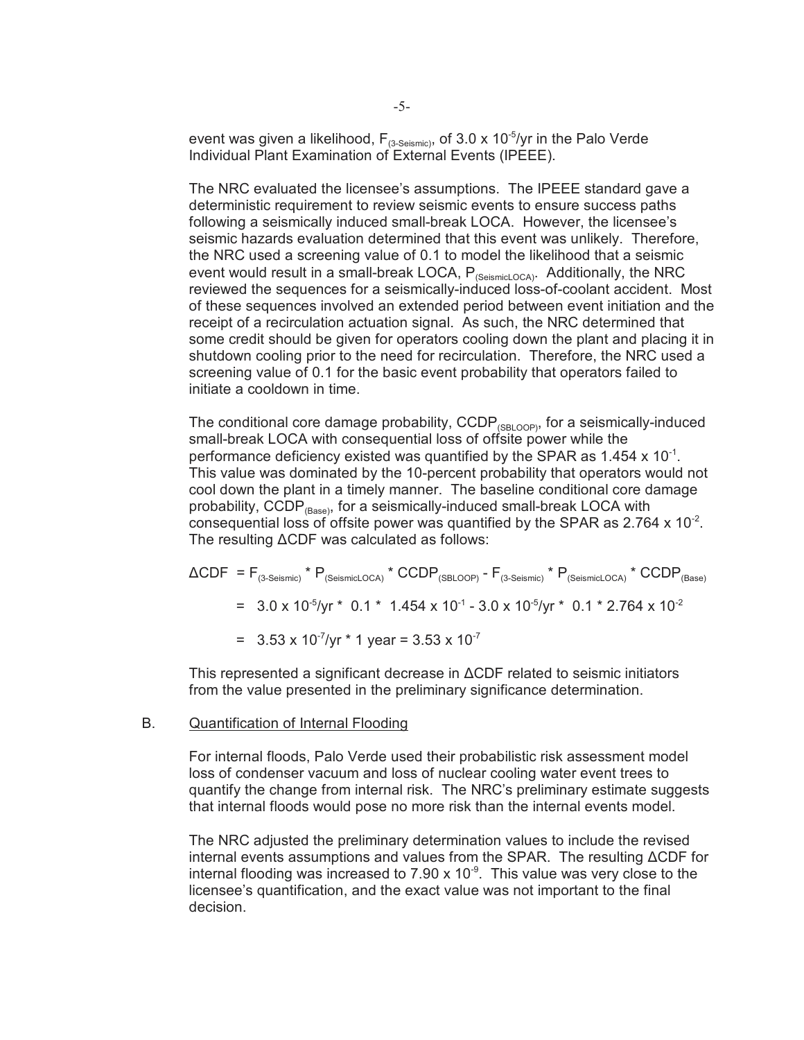event was given a likelihood,  $F_{(3\text{-Seismic})}$ , of 3.0 x 10<sup>-5</sup>/yr in the Palo Verde Individual Plant Examination of External Events (IPEEE).

The NRC evaluated the licensee's assumptions. The IPEEE standard gave a deterministic requirement to review seismic events to ensure success paths following a seismically induced small-break LOCA. However, the licensee's seismic hazards evaluation determined that this event was unlikely. Therefore, the NRC used a screening value of 0.1 to model the likelihood that a seismic event would result in a small-break LOCA,  $P_{(SeismicLocA)}$ . Additionally, the NRC reviewed the sequences for a seismically-induced loss-of-coolant accident. Most of these sequences involved an extended period between event initiation and the receipt of a recirculation actuation signal. As such, the NRC determined that some credit should be given for operators cooling down the plant and placing it in shutdown cooling prior to the need for recirculation. Therefore, the NRC used a screening value of 0.1 for the basic event probability that operators failed to initiate a cooldown in time.

The conditional core damage probability,  $CCDP_{(SBIOOP)}$ , for a seismically-induced small-break LOCA with consequential loss of offsite power while the performance deficiency existed was quantified by the SPAR as  $1.454 \times 10^{-1}$ . This value was dominated by the 10-percent probability that operators would not cool down the plant in a timely manner. The baseline conditional core damage probability,  $CCDP_{(Base)}$ , for a seismically-induced small-break LOCA with consequential loss of offsite power was quantified by the SPAR as  $2.764 \times 10^{-2}$ . The resulting ∆CDF was calculated as follows:

- $\triangle CDF = F_{(3-Seismic)} * P_{(SeismicLOCA)} * CCDP_{(SBLOOP)} F_{(3-Seismic)} * P_{(SeismicLOCA)} * CCDP_{(Base)}$ 
	- =  $3.0 \times 10^{-5}$ /yr \*  $0.1$  \*  $1.454 \times 10^{-1}$   $3.0 \times 10^{-5}$ /yr \*  $0.1$  \* 2.764 x  $10^{-2}$
	- $= 3.53 \times 10^{-7}$ /yr  $* 1$  year = 3.53 x 10<sup>-7</sup>

This represented a significant decrease in ∆CDF related to seismic initiators from the value presented in the preliminary significance determination.

B. Quantification of Internal Flooding

For internal floods, Palo Verde used their probabilistic risk assessment model loss of condenser vacuum and loss of nuclear cooling water event trees to quantify the change from internal risk. The NRC's preliminary estimate suggests that internal floods would pose no more risk than the internal events model.

The NRC adjusted the preliminary determination values to include the revised internal events assumptions and values from the SPAR. The resulting ∆CDF for internal flooding was increased to  $7.90 \times 10^{-9}$ . This value was very close to the licensee's quantification, and the exact value was not important to the final decision.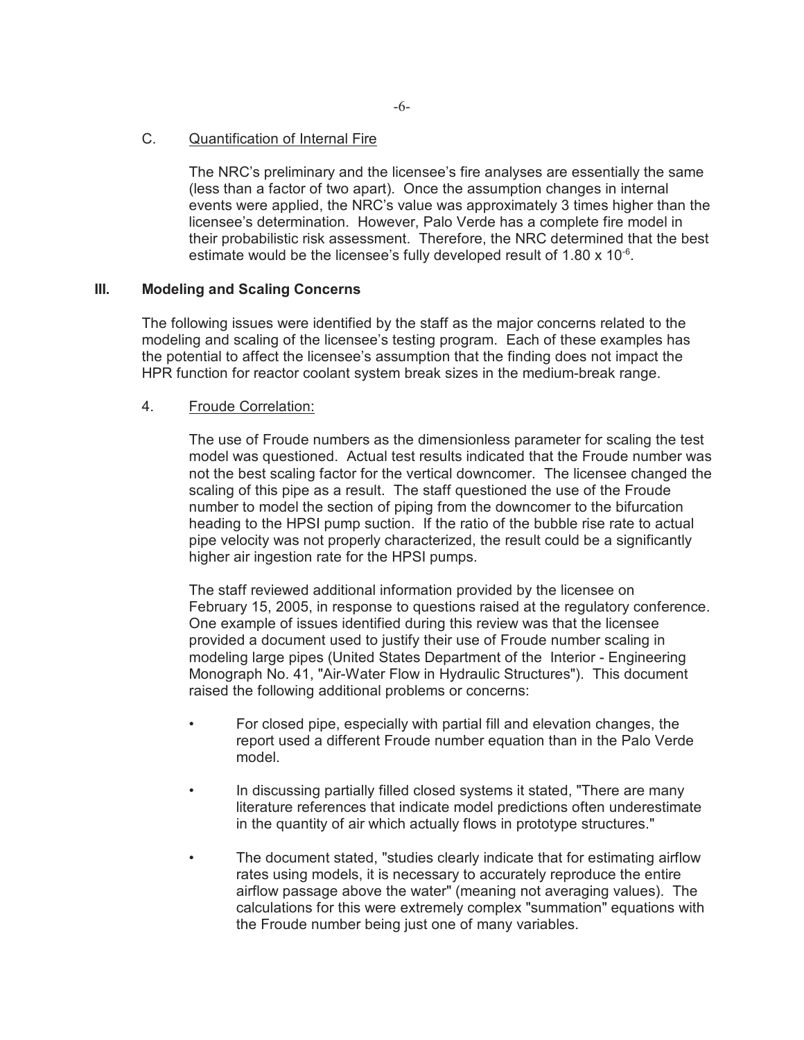#### C. Quantification of Internal Fire

The NRC's preliminary and the licensee's fire analyses are essentially the same (less than a factor of two apart). Once the assumption changes in internal events were applied, the NRC's value was approximately 3 times higher than the licensee's determination. However, Palo Verde has a complete fire model in their probabilistic risk assessment. Therefore, the NRC determined that the best estimate would be the licensee's fully developed result of 1.80 x 10<sup>-6</sup>.

# **III. Modeling and Scaling Concerns**

The following issues were identified by the staff as the major concerns related to the modeling and scaling of the licensee's testing program. Each of these examples has the potential to affect the licensee's assumption that the finding does not impact the HPR function for reactor coolant system break sizes in the medium-break range.

## 4. Froude Correlation:

The use of Froude numbers as the dimensionless parameter for scaling the test model was questioned. Actual test results indicated that the Froude number was not the best scaling factor for the vertical downcomer. The licensee changed the scaling of this pipe as a result. The staff questioned the use of the Froude number to model the section of piping from the downcomer to the bifurcation heading to the HPSI pump suction. If the ratio of the bubble rise rate to actual pipe velocity was not properly characterized, the result could be a significantly higher air ingestion rate for the HPSI pumps.

The staff reviewed additional information provided by the licensee on February 15, 2005, in response to questions raised at the regulatory conference. One example of issues identified during this review was that the licensee provided a document used to justify their use of Froude number scaling in modeling large pipes (United States Department of the Interior - Engineering Monograph No. 41, "Air-Water Flow in Hydraulic Structures"). This document raised the following additional problems or concerns:

- For closed pipe, especially with partial fill and elevation changes, the report used a different Froude number equation than in the Palo Verde model.
- In discussing partially filled closed systems it stated, "There are many literature references that indicate model predictions often underestimate in the quantity of air which actually flows in prototype structures."
- The document stated, "studies clearly indicate that for estimating airflow rates using models, it is necessary to accurately reproduce the entire airflow passage above the water" (meaning not averaging values). The calculations for this were extremely complex "summation" equations with the Froude number being just one of many variables.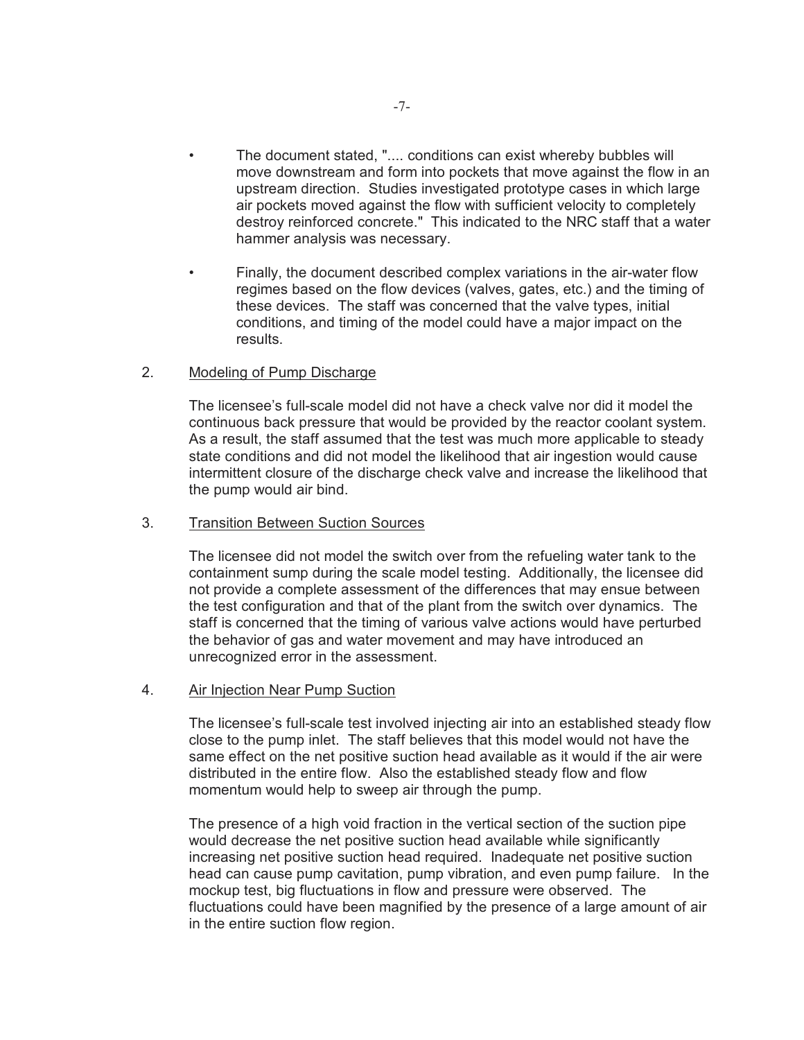- The document stated, ".... conditions can exist whereby bubbles will move downstream and form into pockets that move against the flow in an upstream direction. Studies investigated prototype cases in which large air pockets moved against the flow with sufficient velocity to completely destroy reinforced concrete." This indicated to the NRC staff that a water hammer analysis was necessary.
- Finally, the document described complex variations in the air-water flow regimes based on the flow devices (valves, gates, etc.) and the timing of these devices. The staff was concerned that the valve types, initial conditions, and timing of the model could have a major impact on the results.

## 2. Modeling of Pump Discharge

The licensee's full-scale model did not have a check valve nor did it model the continuous back pressure that would be provided by the reactor coolant system. As a result, the staff assumed that the test was much more applicable to steady state conditions and did not model the likelihood that air ingestion would cause intermittent closure of the discharge check valve and increase the likelihood that the pump would air bind.

#### 3. Transition Between Suction Sources

The licensee did not model the switch over from the refueling water tank to the containment sump during the scale model testing. Additionally, the licensee did not provide a complete assessment of the differences that may ensue between the test configuration and that of the plant from the switch over dynamics. The staff is concerned that the timing of various valve actions would have perturbed the behavior of gas and water movement and may have introduced an unrecognized error in the assessment.

#### 4. Air Injection Near Pump Suction

The licensee's full-scale test involved injecting air into an established steady flow close to the pump inlet. The staff believes that this model would not have the same effect on the net positive suction head available as it would if the air were distributed in the entire flow. Also the established steady flow and flow momentum would help to sweep air through the pump.

The presence of a high void fraction in the vertical section of the suction pipe would decrease the net positive suction head available while significantly increasing net positive suction head required. Inadequate net positive suction head can cause pump cavitation, pump vibration, and even pump failure. In the mockup test, big fluctuations in flow and pressure were observed. The fluctuations could have been magnified by the presence of a large amount of air in the entire suction flow region.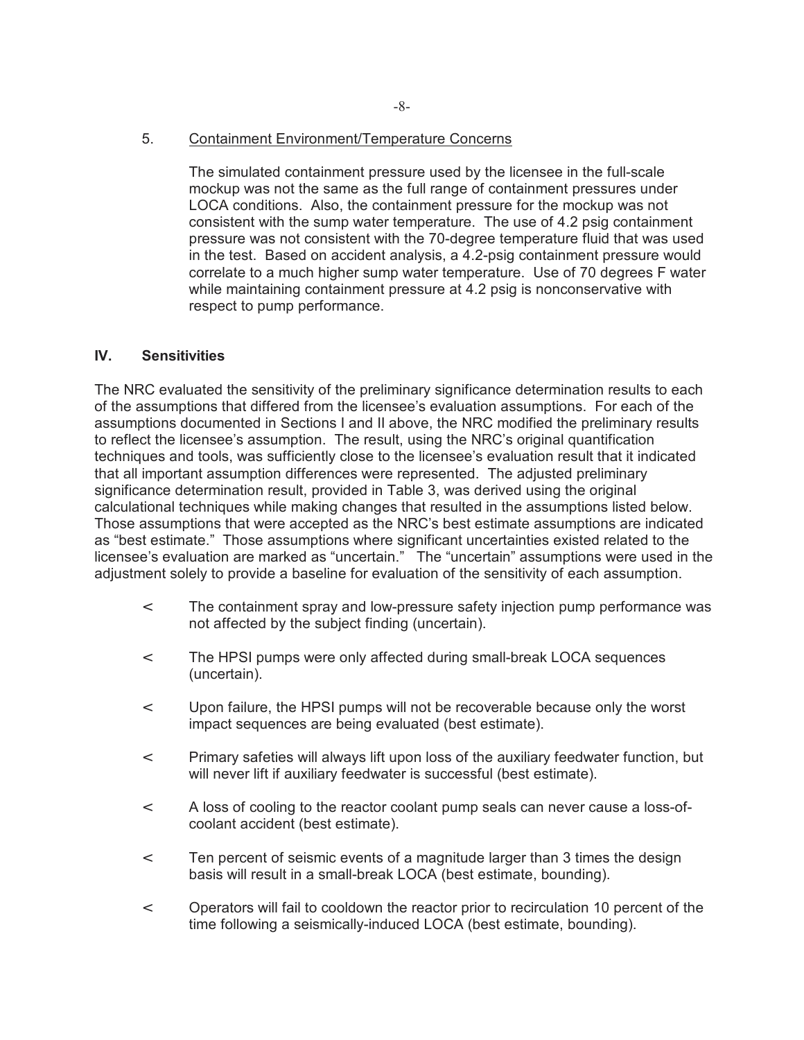5. Containment Environment/Temperature Concerns

The simulated containment pressure used by the licensee in the full-scale mockup was not the same as the full range of containment pressures under LOCA conditions. Also, the containment pressure for the mockup was not consistent with the sump water temperature. The use of 4.2 psig containment pressure was not consistent with the 70-degree temperature fluid that was used in the test. Based on accident analysis, a 4.2-psig containment pressure would correlate to a much higher sump water temperature. Use of 70 degrees F water while maintaining containment pressure at 4.2 psig is nonconservative with respect to pump performance.

## **IV. Sensitivities**

The NRC evaluated the sensitivity of the preliminary significance determination results to each of the assumptions that differed from the licensee's evaluation assumptions. For each of the assumptions documented in Sections I and II above, the NRC modified the preliminary results to reflect the licensee's assumption. The result, using the NRC's original quantification techniques and tools, was sufficiently close to the licensee's evaluation result that it indicated that all important assumption differences were represented. The adjusted preliminary significance determination result, provided in Table 3, was derived using the original calculational techniques while making changes that resulted in the assumptions listed below. Those assumptions that were accepted as the NRC's best estimate assumptions are indicated as "best estimate." Those assumptions where significant uncertainties existed related to the licensee's evaluation are marked as "uncertain." The "uncertain" assumptions were used in the adjustment solely to provide a baseline for evaluation of the sensitivity of each assumption.

- < The containment spray and low-pressure safety injection pump performance was not affected by the subject finding (uncertain).
- < The HPSI pumps were only affected during small-break LOCA sequences (uncertain).
- < Upon failure, the HPSI pumps will not be recoverable because only the worst impact sequences are being evaluated (best estimate).
- < Primary safeties will always lift upon loss of the auxiliary feedwater function, but will never lift if auxiliary feedwater is successful (best estimate).
- < A loss of cooling to the reactor coolant pump seals can never cause a loss-ofcoolant accident (best estimate).
- < Ten percent of seismic events of a magnitude larger than 3 times the design basis will result in a small-break LOCA (best estimate, bounding).
- < Operators will fail to cooldown the reactor prior to recirculation 10 percent of the time following a seismically-induced LOCA (best estimate, bounding).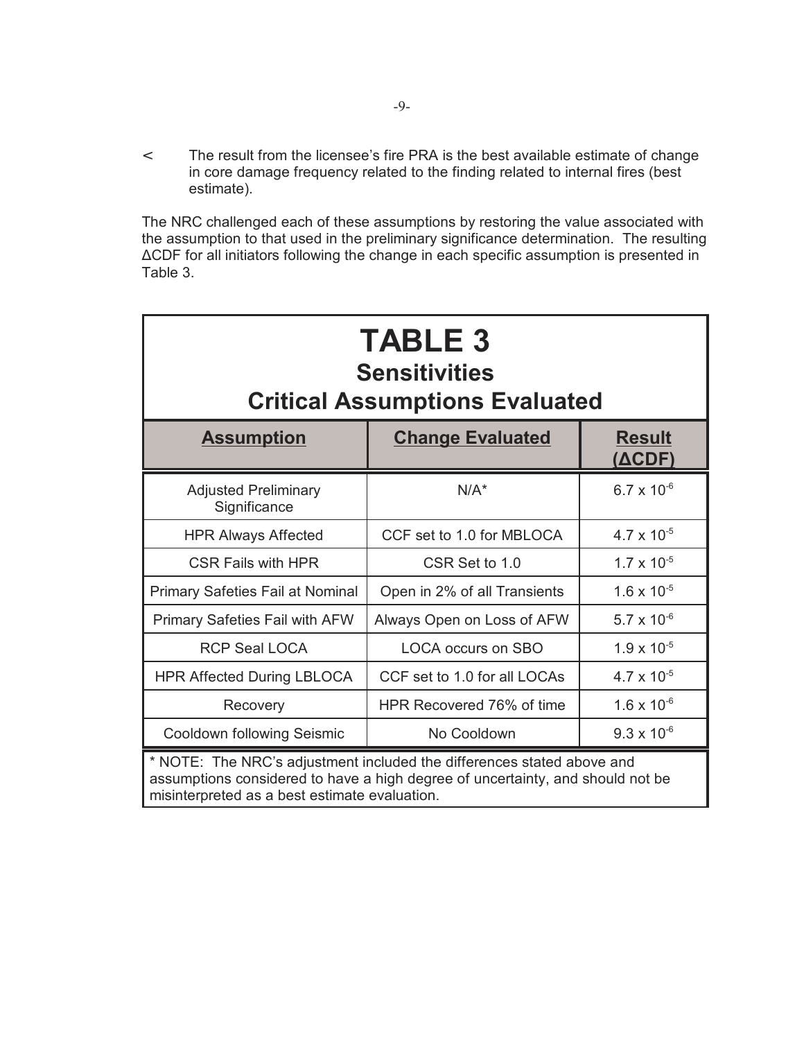< The result from the licensee's fire PRA is the best available estimate of change in core damage frequency related to the finding related to internal fires (best estimate).

The NRC challenged each of these assumptions by restoring the value associated with the assumption to that used in the preliminary significance determination. The resulting ∆CDF for all initiators following the change in each specific assumption is presented in Table 3.

| <b>TABLE 3</b><br><b>Sensitivities</b><br><b>Critical Assumptions Evaluated</b>                                                                                                                           |                              |                         |  |  |
|-----------------------------------------------------------------------------------------------------------------------------------------------------------------------------------------------------------|------------------------------|-------------------------|--|--|
| <b>Assumption</b>                                                                                                                                                                                         | <b>Change Evaluated</b>      | <b>Result</b><br>(ΔCDF) |  |  |
| <b>Adjusted Preliminary</b><br>Significance                                                                                                                                                               | $N/A^*$                      | $6.7 \times 10^{-6}$    |  |  |
| <b>HPR Always Affected</b>                                                                                                                                                                                | CCF set to 1.0 for MBLOCA    | $4.7 \times 10^{-5}$    |  |  |
| <b>CSR Fails with HPR</b>                                                                                                                                                                                 | CSR Set to 1.0               | $1.7 \times 10^{-5}$    |  |  |
| <b>Primary Safeties Fail at Nominal</b>                                                                                                                                                                   | Open in 2% of all Transients | $1.6 \times 10^{-5}$    |  |  |
| Primary Safeties Fail with AFW                                                                                                                                                                            | Always Open on Loss of AFW   | $5.7 \times 10^{-6}$    |  |  |
| <b>RCP Seal LOCA</b>                                                                                                                                                                                      | <b>LOCA occurs on SBO</b>    | $1.9 \times 10^{-5}$    |  |  |
| <b>HPR Affected During LBLOCA</b>                                                                                                                                                                         | CCF set to 1.0 for all LOCAs | $4.7 \times 10^{-5}$    |  |  |
| Recovery                                                                                                                                                                                                  | HPR Recovered 76% of time    | $1.6 \times 10^{-6}$    |  |  |
| Cooldown following Seismic                                                                                                                                                                                | No Cooldown                  | $9.3 \times 10^{-6}$    |  |  |
| * NOTE: The NRC's adjustment included the differences stated above and<br>assumptions considered to have a high degree of uncertainty, and should not be<br>misinterpreted as a best estimate evaluation. |                              |                         |  |  |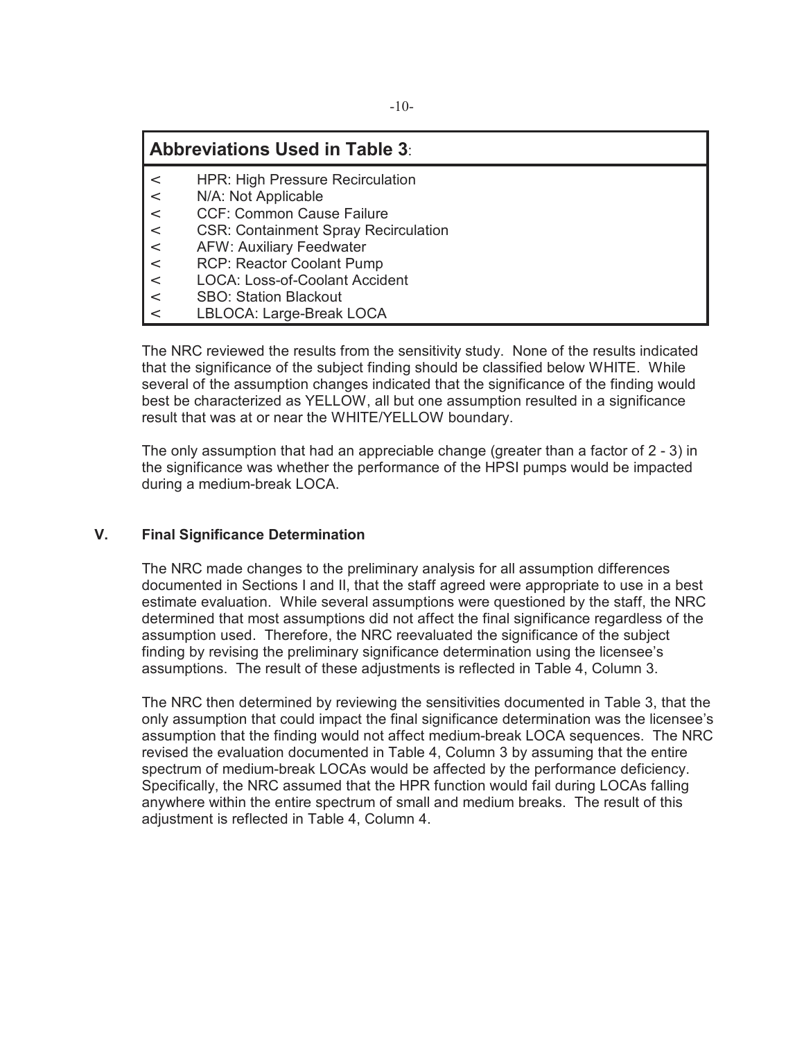# **Abbreviations Used in Table 3**:

- < HPR: High Pressure Recirculation
- < N/A: Not Applicable
- < CCF: Common Cause Failure
- < CSR: Containment Spray Recirculation
- < AFW: Auxiliary Feedwater
- < RCP: Reactor Coolant Pump
- < LOCA: Loss-of-Coolant Accident
- < SBO: Station Blackout
- < LBLOCA: Large-Break LOCA

The NRC reviewed the results from the sensitivity study. None of the results indicated that the significance of the subject finding should be classified below WHITE. While several of the assumption changes indicated that the significance of the finding would best be characterized as YELLOW, all but one assumption resulted in a significance result that was at or near the WHITE/YELLOW boundary.

The only assumption that had an appreciable change (greater than a factor of 2 - 3) in the significance was whether the performance of the HPSI pumps would be impacted during a medium-break LOCA.

# **V. Final Significance Determination**

The NRC made changes to the preliminary analysis for all assumption differences documented in Sections I and II, that the staff agreed were appropriate to use in a best estimate evaluation. While several assumptions were questioned by the staff, the NRC determined that most assumptions did not affect the final significance regardless of the assumption used. Therefore, the NRC reevaluated the significance of the subject finding by revising the preliminary significance determination using the licensee's assumptions. The result of these adjustments is reflected in Table 4, Column 3.

The NRC then determined by reviewing the sensitivities documented in Table 3, that the only assumption that could impact the final significance determination was the licensee's assumption that the finding would not affect medium-break LOCA sequences. The NRC revised the evaluation documented in Table 4, Column 3 by assuming that the entire spectrum of medium-break LOCAs would be affected by the performance deficiency. Specifically, the NRC assumed that the HPR function would fail during LOCAs falling anywhere within the entire spectrum of small and medium breaks. The result of this adjustment is reflected in Table 4, Column 4.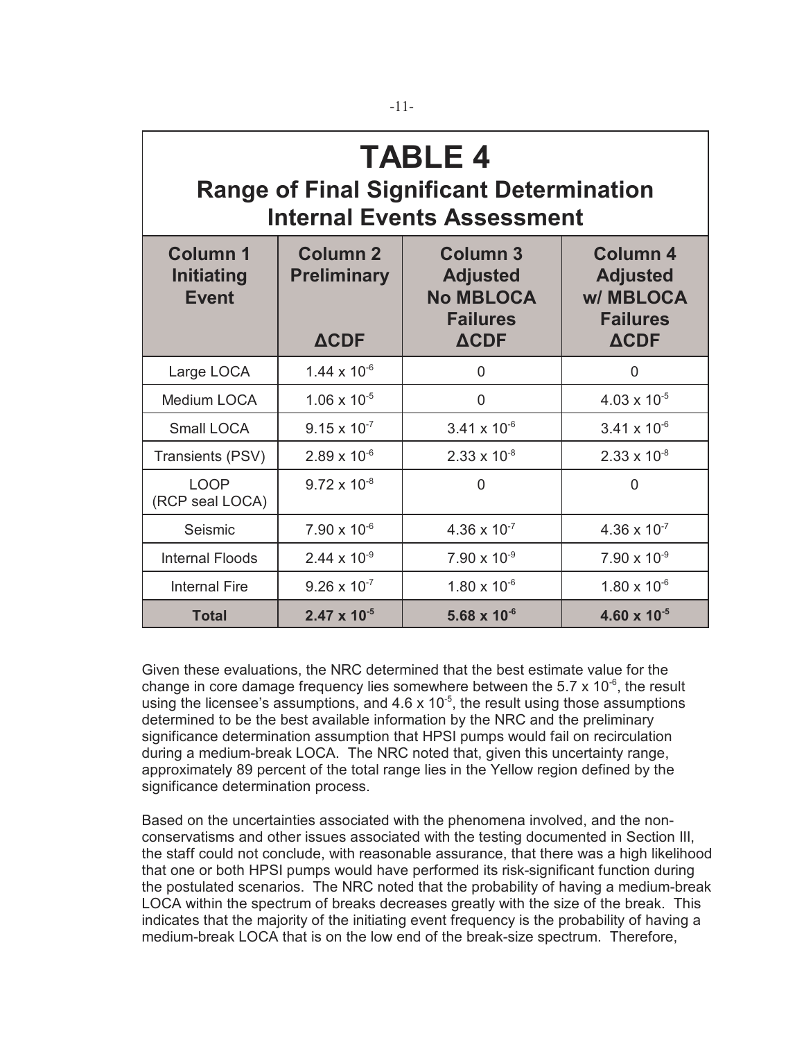| <b>TABLE 4</b><br><b>Range of Final Significant Determination</b><br><b>Internal Events Assessment</b> |                                                      |                                                                                          |                                                                                  |  |  |  |
|--------------------------------------------------------------------------------------------------------|------------------------------------------------------|------------------------------------------------------------------------------------------|----------------------------------------------------------------------------------|--|--|--|
| <b>Column 1</b><br><b>Initiating</b><br><b>Event</b>                                                   | <b>Column 2</b><br><b>Preliminary</b><br><b>ACDF</b> | <b>Column 3</b><br><b>Adjusted</b><br><b>No MBLOCA</b><br><b>Failures</b><br><b>ACDF</b> | <b>Column 4</b><br><b>Adjusted</b><br>w/MBLOCA<br><b>Failures</b><br><b>ACDF</b> |  |  |  |
| Large LOCA                                                                                             | $1.44 \times 10^{-6}$                                | $\overline{0}$                                                                           | 0                                                                                |  |  |  |
| Medium LOCA                                                                                            | $1.06 \times 10^{-5}$                                | $\overline{0}$                                                                           | $4.03 \times 10^{-5}$                                                            |  |  |  |
| Small LOCA                                                                                             | $9.15 \times 10^{-7}$                                | $3.41 \times 10^{-6}$                                                                    | $3.41 \times 10^{-6}$                                                            |  |  |  |
| Transients (PSV)                                                                                       | $2.89 \times 10^{-6}$                                | $2.33 \times 10^{-8}$                                                                    | $2.33 \times 10^{-8}$                                                            |  |  |  |
| <b>LOOP</b><br>(RCP seal LOCA)                                                                         | $9.72 \times 10^{-8}$                                | $\overline{0}$                                                                           | $\mathbf{0}$                                                                     |  |  |  |
| Seismic                                                                                                | $7.90 \times 10^{-6}$                                | $4.36 \times 10^{-7}$                                                                    | $4.36 \times 10^{-7}$                                                            |  |  |  |
| <b>Internal Floods</b>                                                                                 | $2.44 \times 10^{-9}$                                | $7.90 \times 10^{-9}$                                                                    | $7.90 \times 10^{-9}$                                                            |  |  |  |
| <b>Internal Fire</b>                                                                                   | $9.26 \times 10^{-7}$                                | $1.80 \times 10^{-6}$                                                                    | $1.80 \times 10^{-6}$                                                            |  |  |  |
| <b>Total</b>                                                                                           | $2.47 \times 10^{-5}$                                | 5.68 $\times$ 10 <sup>-6</sup>                                                           | $4.60 \times 10^{-5}$                                                            |  |  |  |

Given these evaluations, the NRC determined that the best estimate value for the change in core damage frequency lies somewhere between the 5.7  $\times$  10<sup>-6</sup>, the result using the licensee's assumptions, and  $4.6 \times 10^{-5}$ , the result using those assumptions determined to be the best available information by the NRC and the preliminary significance determination assumption that HPSI pumps would fail on recirculation during a medium-break LOCA. The NRC noted that, given this uncertainty range, approximately 89 percent of the total range lies in the Yellow region defined by the significance determination process.

Based on the uncertainties associated with the phenomena involved, and the nonconservatisms and other issues associated with the testing documented in Section III, the staff could not conclude, with reasonable assurance, that there was a high likelihood that one or both HPSI pumps would have performed its risk-significant function during the postulated scenarios. The NRC noted that the probability of having a medium-break LOCA within the spectrum of breaks decreases greatly with the size of the break. This indicates that the majority of the initiating event frequency is the probability of having a medium-break LOCA that is on the low end of the break-size spectrum. Therefore,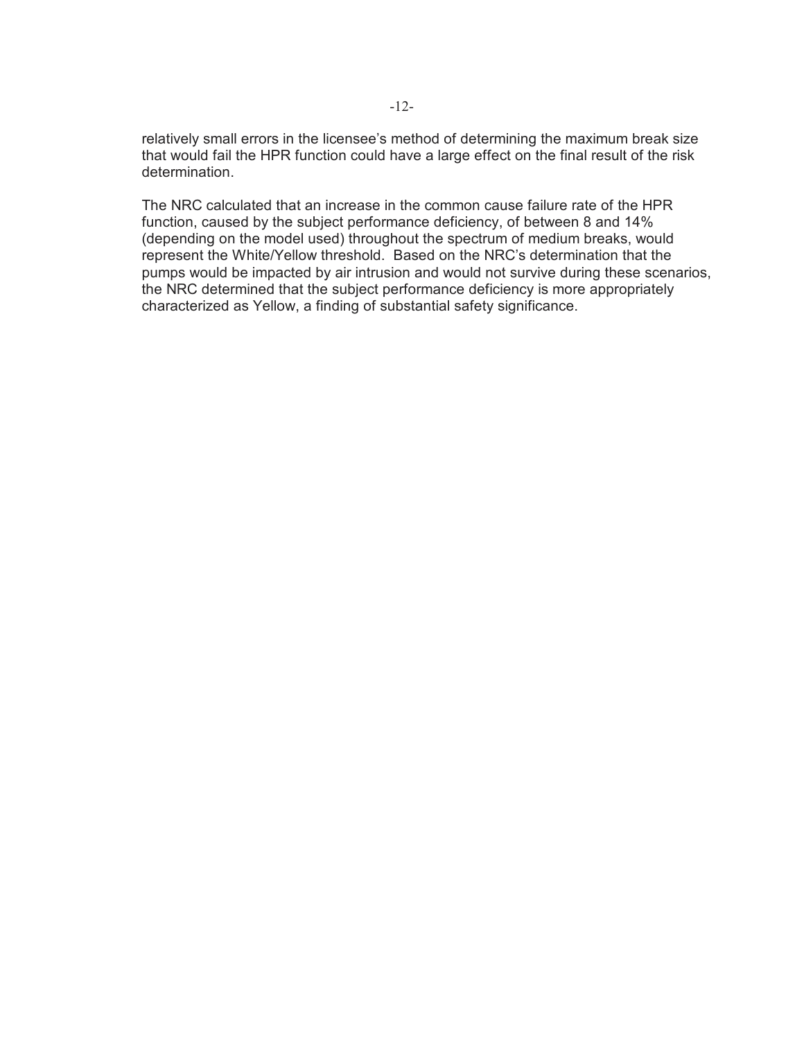relatively small errors in the licensee's method of determining the maximum break size that would fail the HPR function could have a large effect on the final result of the risk determination.

The NRC calculated that an increase in the common cause failure rate of the HPR function, caused by the subject performance deficiency, of between 8 and 14% (depending on the model used) throughout the spectrum of medium breaks, would represent the White/Yellow threshold. Based on the NRC's determination that the pumps would be impacted by air intrusion and would not survive during these scenarios, the NRC determined that the subject performance deficiency is more appropriately characterized as Yellow, a finding of substantial safety significance.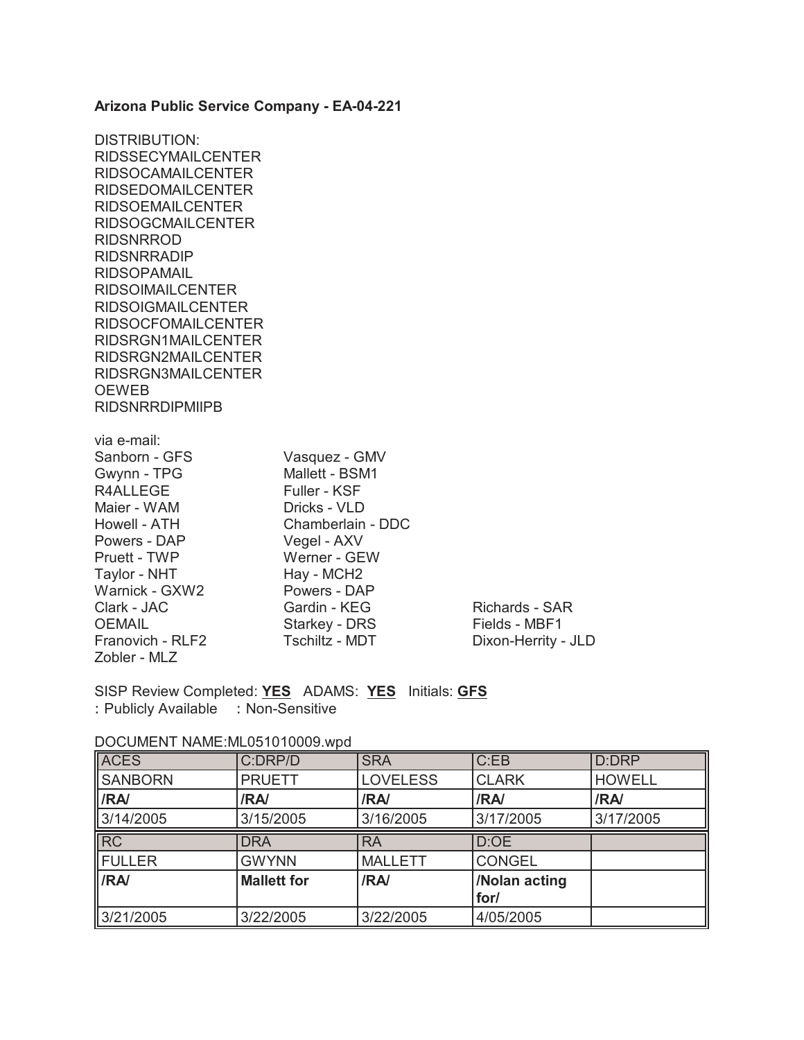#### **Arizona Public Service Company - EA-04-221**

DISTRIBUTION: RIDSSECYMAILCENTER RIDSOCAMAILCENTER RIDSEDOMAILCENTER RIDSOEMAILCENTER RIDSOGCMAILCENTER RIDSNRROD RIDSNRRADIP RIDSOPAMAIL RIDSOIMAILCENTER RIDSOIGMAILCENTER RIDSOCFOMAILCENTER RIDSRGN1MAILCENTER RIDSRGN2MAILCENTER RIDSRGN3MAILCENTER OEWEB RIDSNRRDIPMIIPB via e-mail:<br>Sanborn - GFS Vasquez - GMV Gwynn - TPG Mallett - BSM1 R4ALLEGE Fuller - KSF Maier - WAM Dricks - VLD Howell - ATH Chamberlain - DDC Powers - DAP Vegel - AXV Pruett - TWP Werner - GEW Taylor - NHT Hay - MCH2 Warnick - GXW2 Powers - DAP Clark - JAC Gardin - KEG Richards - SAR OEMAIL Starkey - DRS Fields - MBF1 Franovich - RLF2 Tschiltz - MDT Dixon-Herrity - JLD Zobler - MLZ

SISP Review Completed: **YES** ADAMS: **YES** Initials: **GFS** : Publicly Available : Non-Sensitive

| <b>ACES</b>    | C:DRP/D            | <b>SRA</b>      | C:EB          | D:DRP         |
|----------------|--------------------|-----------------|---------------|---------------|
| <b>SANBORN</b> | <b>PRUETT</b>      | <b>LOVELESS</b> | <b>CLARK</b>  | <b>HOWELL</b> |
| <b>IRA</b>     | /RA/               | /RA/            | /RA/          | /RA/          |
| 3/14/2005      | 3/15/2005          | 3/16/2005       | 3/17/2005     | 3/17/2005     |
| <b>RC</b>      | <b>DRA</b>         | <b>RA</b>       | D:OE          |               |
|                |                    |                 |               |               |
| <b>IFULLER</b> | <b>GWYNN</b>       | <b>MALLETT</b>  | <b>CONGEL</b> |               |
| <b>IRA</b>     | <b>Mallett for</b> | /RA/            | /Nolan acting |               |
|                |                    |                 | for/          |               |

DOCUMENT NAME:ML051010009 wpd